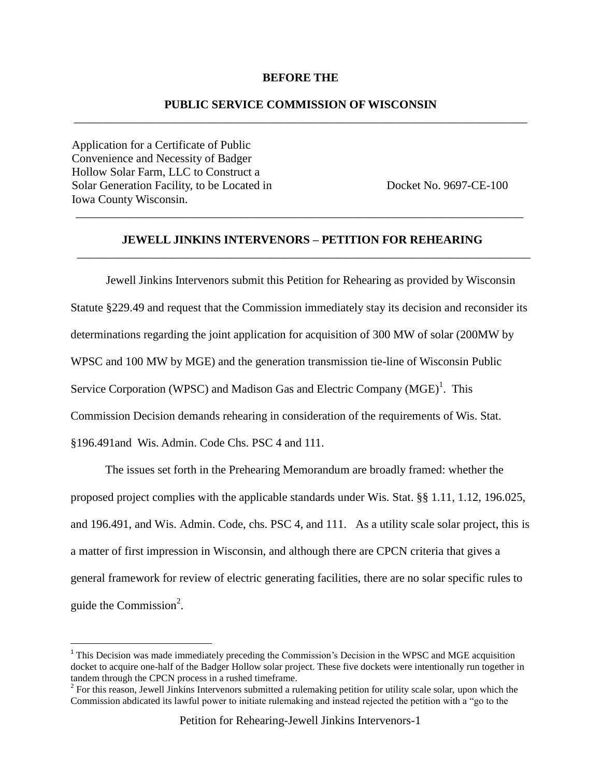#### **BEFORE THE**

## **PUBLIC SERVICE COMMISSION OF WISCONSIN** \_\_\_\_\_\_\_\_\_\_\_\_\_\_\_\_\_\_\_\_\_\_\_\_\_\_\_\_\_\_\_\_\_\_\_\_\_\_\_\_\_\_\_\_\_\_\_\_\_\_\_\_\_\_\_\_\_\_\_\_\_\_\_\_\_\_\_\_\_\_\_\_\_\_\_\_\_

Application for a Certificate of Public Convenience and Necessity of Badger Hollow Solar Farm, LLC to Construct a Solar Generation Facility, to be Located in Docket No. 9697-CE-100 Iowa County Wisconsin.

 $\overline{a}$ 

## **JEWELL JINKINS INTERVENORS – PETITION FOR REHEARING** \_\_\_\_\_\_\_\_\_\_\_\_\_\_\_\_\_\_\_\_\_\_\_\_\_\_\_\_\_\_\_\_\_\_\_\_\_\_\_\_\_\_\_\_\_\_\_\_\_\_\_\_\_\_\_\_\_\_\_\_\_\_\_\_\_\_\_\_\_\_\_\_\_\_\_\_\_

\_\_\_\_\_\_\_\_\_\_\_\_\_\_\_\_\_\_\_\_\_\_\_\_\_\_\_\_\_\_\_\_\_\_\_\_\_\_\_\_\_\_\_\_\_\_\_\_\_\_\_\_\_\_\_\_\_\_\_\_\_\_\_\_\_\_\_\_\_\_\_\_\_\_\_\_

Jewell Jinkins Intervenors submit this Petition for Rehearing as provided by Wisconsin Statute §229.49 and request that the Commission immediately stay its decision and reconsider its determinations regarding the joint application for acquisition of 300 MW of solar (200MW by WPSC and 100 MW by MGE) and the generation transmission tie-line of Wisconsin Public Service Corporation (WPSC) and Madison Gas and Electric Company  $(MGE)^1$ . This Commission Decision demands rehearing in consideration of the requirements of Wis. Stat. §196.491and Wis. Admin. Code Chs. PSC 4 and 111.

The issues set forth in the Prehearing Memorandum are broadly framed: whether the proposed project complies with the applicable standards under Wis. Stat. §§ 1.11, 1.12, 196.025, and 196.491, and Wis. Admin. Code, chs. PSC 4, and 111. As a utility scale solar project, this is a matter of first impression in Wisconsin, and although there are CPCN criteria that gives a general framework for review of electric generating facilities, there are no solar specific rules to guide the Commission $2$ .

<sup>&</sup>lt;sup>1</sup> This Decision was made immediately preceding the Commission's Decision in the WPSC and MGE acquisition docket to acquire one-half of the Badger Hollow solar project. These five dockets were intentionally run together in tandem through the CPCN process in a rushed timeframe.

 $2^2$  For this reason, Jewell Jinkins Intervenors submitted a rulemaking petition for utility scale solar, upon which the Commission abdicated its lawful power to initiate rulemaking and instead rejected the petition with a "go to the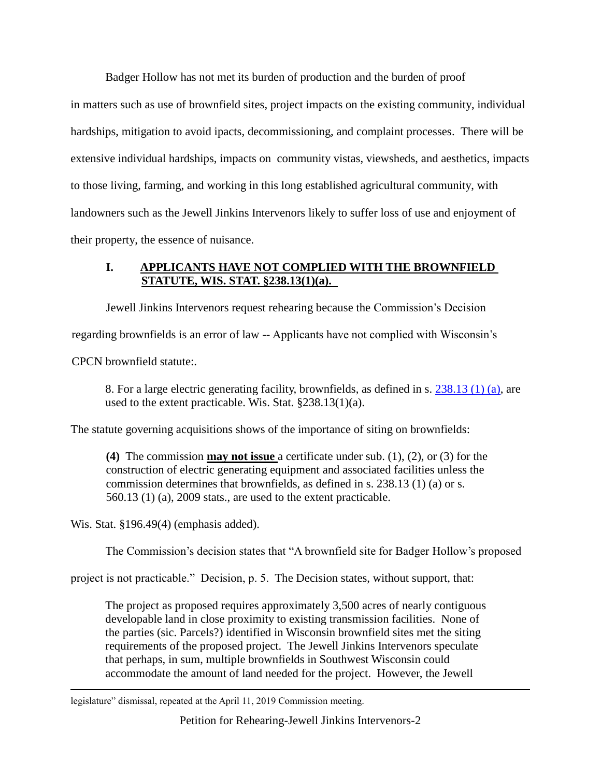Badger Hollow has not met its burden of production and the burden of proof

in matters such as use of brownfield sites, project impacts on the existing community, individual hardships, mitigation to avoid ipacts, decommissioning, and complaint processes. There will be extensive individual hardships, impacts on community vistas, viewsheds, and aesthetics, impacts to those living, farming, and working in this long established agricultural community, with landowners such as the Jewell Jinkins Intervenors likely to suffer loss of use and enjoyment of their property, the essence of nuisance.

# **I. APPLICANTS HAVE NOT COMPLIED WITH THE BROWNFIELD STATUTE, WIS. STAT. §238.13(1)(a).**

Jewell Jinkins Intervenors request rehearing because the Commission's Decision

regarding brownfields is an error of law -- Applicants have not complied with Wisconsin's

CPCN brownfield statute:.

8. For a large electric generating facility, brownfields, as defined in s. [238.13 \(1\) \(a\),](https://docs.legis.wisconsin.gov/document/statutes/238.13(1)(a)) are used to the extent practicable. Wis. Stat. §238.13(1)(a).

The statute governing acquisitions shows of the importance of siting on brownfields:

**(4)** The commission **may not issue** a certificate under sub. (1), (2), or (3) for the construction of electric generating equipment and associated facilities unless the commission determines that brownfields, as defined in s. 238.13 (1) (a) or s. 560.13 (1) (a), 2009 stats., are used to the extent practicable.

Wis. Stat. §196.49(4) (emphasis added).

 $\overline{a}$ 

The Commission's decision states that "A brownfield site for Badger Hollow's proposed

project is not practicable." Decision, p. 5. The Decision states, without support, that:

The project as proposed requires approximately 3,500 acres of nearly contiguous developable land in close proximity to existing transmission facilities. None of the parties (sic. Parcels?) identified in Wisconsin brownfield sites met the siting requirements of the proposed project. The Jewell Jinkins Intervenors speculate that perhaps, in sum, multiple brownfields in Southwest Wisconsin could accommodate the amount of land needed for the project. However, the Jewell

legislature" dismissal, repeated at the April 11, 2019 Commission meeting.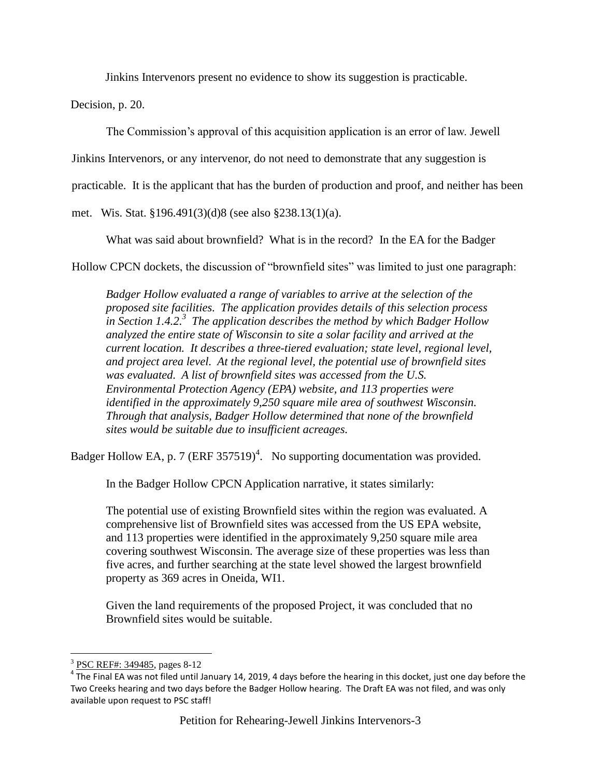Jinkins Intervenors present no evidence to show its suggestion is practicable.

Decision, p. 20.

The Commission's approval of this acquisition application is an error of law. Jewell

Jinkins Intervenors, or any intervenor, do not need to demonstrate that any suggestion is

practicable. It is the applicant that has the burden of production and proof, and neither has been

met. Wis. Stat. §196.491(3)(d)8 (see also §238.13(1)(a).

What was said about brownfield? What is in the record? In the EA for the Badger

Hollow CPCN dockets, the discussion of "brownfield sites" was limited to just one paragraph:

*Badger Hollow evaluated a range of variables to arrive at the selection of the proposed site facilities. The application provides details of this selection process in Section 1.4.2. 3 The application describes the method by which Badger Hollow analyzed the entire state of Wisconsin to site a solar facility and arrived at the current location. It describes a three-tiered evaluation; state level, regional level, and project area level. At the regional level, the potential use of brownfield sites was evaluated. A list of brownfield sites was accessed from the U.S. Environmental Protection Agency (EPA) website, and 113 properties were identified in the approximately 9,250 square mile area of southwest Wisconsin. Through that analysis, Badger Hollow determined that none of the brownfield sites would be suitable due to insufficient acreages.*

Badger Hollow EA, p. 7 (ERF 357519)<sup>4</sup>. No supporting documentation was provided.

In the Badger Hollow CPCN Application narrative, it states similarly:

The potential use of existing Brownfield sites within the region was evaluated. A comprehensive list of Brownfield sites was accessed from the US EPA website, and 113 properties were identified in the approximately 9,250 square mile area covering southwest Wisconsin. The average size of these properties was less than five acres, and further searching at the state level showed the largest brownfield property as 369 acres in Oneida, WI1.

Given the land requirements of the proposed Project, it was concluded that no Brownfield sites would be suitable.

<sup>&</sup>lt;sup>3</sup> [PSC REF#: 349485,](http://apps.psc.wi.gov/pages/viewdoc.htm?docid=%20349485) pages 8-12

 $^4$  The Final EA was not filed until January 14, 2019, 4 days before the hearing in this docket, just one day before the Two Creeks hearing and two days before the Badger Hollow hearing. The Draft EA was not filed, and was only available upon request to PSC staff!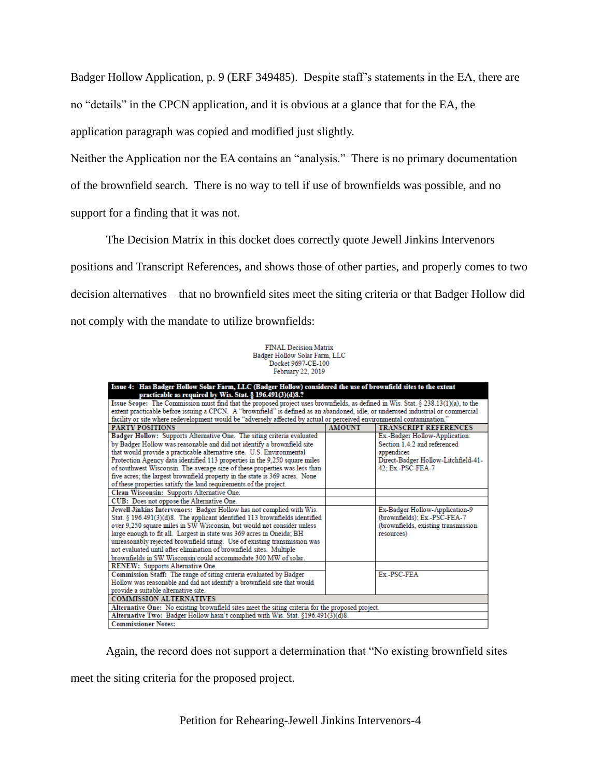Badger Hollow Application, p. 9 (ERF 349485). Despite staff's statements in the EA, there are no "details" in the CPCN application, and it is obvious at a glance that for the EA, the application paragraph was copied and modified just slightly.

Neither the Application nor the EA contains an "analysis." There is no primary documentation of the brownfield search. There is no way to tell if use of brownfields was possible, and no support for a finding that it was not.

The Decision Matrix in this docket does correctly quote Jewell Jinkins Intervenors positions and Transcript References, and shows those of other parties, and properly comes to two decision alternatives – that no brownfield sites meet the siting criteria or that Badger Hollow did not comply with the mandate to utilize brownfields:

> FINAL Decision Matrix Badger Hollow Solar Farm, LLC Docket 9697-CE-100 February 22, 2019

| Issue 4: Has Badger Hollow Solar Farm, LLC (Badger Hollow) considered the use of brownfield sites to the extent<br>practicable as required by Wis. Stat. § 196.491(3)(d)8.? |               |                                     |
|-----------------------------------------------------------------------------------------------------------------------------------------------------------------------------|---------------|-------------------------------------|
| Issue Scope: The Commission must find that the proposed project uses brownfields, as defined in Wis. Stat. § 238.13(1)(a), to the                                           |               |                                     |
| extent practicable before issuing a CPCN. A "brownfield" is defined as an abandoned, idle, or underused industrial or commercial                                            |               |                                     |
| facility or site where redevelopment would be "adversely affected by actual or perceived environmental contamination."                                                      |               |                                     |
| <b>PARTY POSITIONS</b>                                                                                                                                                      | <b>AMOUNT</b> | <b>TRANSCRIPT REFERENCES</b>        |
| Badger Hollow: Supports Alternative One. The siting criteria evaluated                                                                                                      |               | Ex.-Badger Hollow-Application:      |
| by Badger Hollow was reasonable and did not identify a brownfield site                                                                                                      |               | Section 1.4.2 and referenced        |
| that would provide a practicable alternative site. U.S. Environmental                                                                                                       |               | appendices                          |
| Protection Agency data identified 113 properties in the 9,250 square miles                                                                                                  |               | Direct-Badger Hollow-Litchfield-41- |
| of southwest Wisconsin. The average size of these properties was less than                                                                                                  |               | 42; Ex.-PSC-FEA-7                   |
| five acres; the largest brownfield property in the state is 369 acres. None                                                                                                 |               |                                     |
| of these properties satisfy the land requirements of the project.                                                                                                           |               |                                     |
| Clean Wisconsin: Supports Alternative One.                                                                                                                                  |               |                                     |
| CUB: Does not oppose the Alternative One.                                                                                                                                   |               |                                     |
|                                                                                                                                                                             |               |                                     |
| Jewell Jinkins Intervenors: Badger Hollow has not complied with Wis.                                                                                                        |               | Ex-Badger Hollow-Application-9      |
| Stat. § 196.491(3)(d)8. The applicant identified 113 brownfields identified                                                                                                 |               | (brownfields); Ex.-PSC-FEA-7        |
| over 9,250 square miles in SW Wisconsin, but would not consider unless<br>(brownfields, existing transmission                                                               |               |                                     |
| large enough to fit all. Largest in state was 369 acres in Oneida; BH<br>resources)                                                                                         |               |                                     |
| unreasonably rejected brownfield siting. Use of existing transmission was                                                                                                   |               |                                     |
| not evaluated until after elimination of brownfield sites. Multiple                                                                                                         |               |                                     |
| brownfields in SW Wisconsin could accommodate 300 MW of solar.                                                                                                              |               |                                     |
| RENEW: Supports Alternative One.                                                                                                                                            |               |                                     |
| Commission Staff: The range of siting criteria evaluated by Badger                                                                                                          |               | Ex-PSC-FEA                          |
| Hollow was reasonable and did not identify a brownfield site that would                                                                                                     |               |                                     |
| provide a suitable alternative site.                                                                                                                                        |               |                                     |
| <b>COMMISSION ALTERNATIVES</b>                                                                                                                                              |               |                                     |
| Alternative One: No existing brownfield sites meet the siting criteria for the proposed project.                                                                            |               |                                     |
| Alternative Two: Badger Hollow hasn't complied with Wis. Stat. §196.491(3)(d)8.                                                                                             |               |                                     |
| <b>Commissioner Notes:</b>                                                                                                                                                  |               |                                     |

Again, the record does not support a determination that "No existing brownfield sites

meet the siting criteria for the proposed project.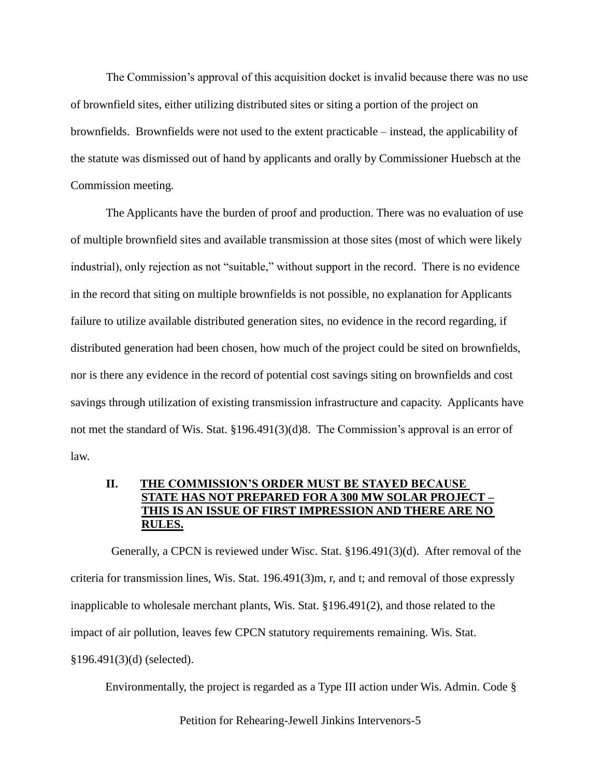The Commission's approval of this acquisition docket is invalid because there was no use of brownfield sites, either utilizing distributed sites or siting a portion of the project on brownfields. Brownfields were not used to the extent practicable – instead, the applicability of the statute was dismissed out of hand by applicants and orally by Commissioner Huebsch at the Commission meeting.

The Applicants have the burden of proof and production. There was no evaluation of use of multiple brownfield sites and available transmission at those sites (most of which were likely industrial), only rejection as not "suitable," without support in the record. There is no evidence in the record that siting on multiple brownfields is not possible, no explanation for Applicants failure to utilize available distributed generation sites, no evidence in the record regarding, if distributed generation had been chosen, how much of the project could be sited on brownfields, nor is there any evidence in the record of potential cost savings siting on brownfields and cost savings through utilization of existing transmission infrastructure and capacity. Applicants have not met the standard of Wis. Stat. §196.491(3)(d)8. The Commission's approval is an error of law.

## **II. THE COMMISSION'S ORDER MUST BE STAYED BECAUSE STATE HAS NOT PREPARED FOR A 300 MW SOLAR PROJECT – THIS IS AN ISSUE OF FIRST IMPRESSION AND THERE ARE NO RULES.**

 Generally, a CPCN is reviewed under Wisc. Stat. §196.491(3)(d). After removal of the criteria for transmission lines, Wis. Stat. 196.491(3)m, r, and t; and removal of those expressly inapplicable to wholesale merchant plants, Wis. Stat. §196.491(2), and those related to the impact of air pollution, leaves few CPCN statutory requirements remaining. Wis. Stat. §196.491(3)(d) (selected).

Environmentally, the project is regarded as a Type III action under Wis. Admin. Code §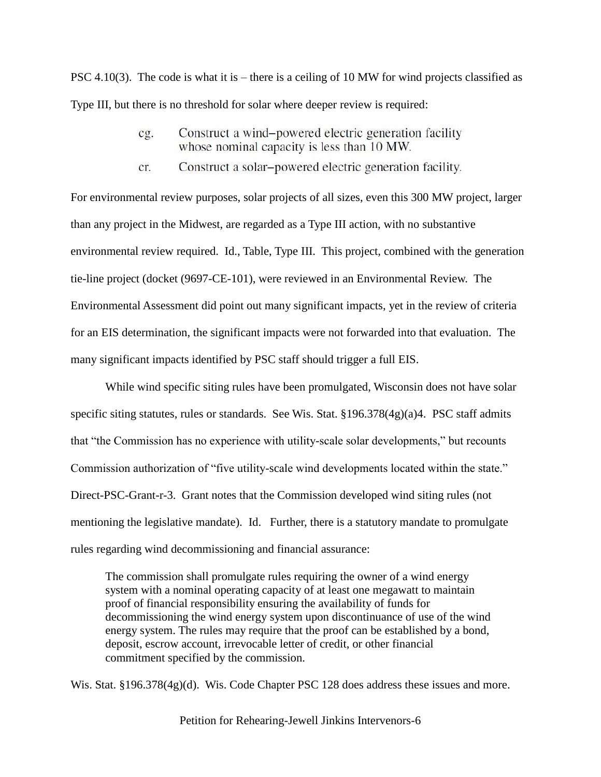PSC 4.10(3). The code is what it is – there is a ceiling of 10 MW for wind projects classified as Type III, but there is no threshold for solar where deeper review is required:

- Construct a wind-powered electric generation facility  $cg.$ whose nominal capacity is less than 10 MW.
- Construct a solar-powered electric generation facility. cr.

For environmental review purposes, solar projects of all sizes, even this 300 MW project, larger than any project in the Midwest, are regarded as a Type III action, with no substantive environmental review required. Id., Table, Type III. This project, combined with the generation tie-line project (docket (9697-CE-101), were reviewed in an Environmental Review. The Environmental Assessment did point out many significant impacts, yet in the review of criteria for an EIS determination, the significant impacts were not forwarded into that evaluation. The many significant impacts identified by PSC staff should trigger a full EIS.

While wind specific siting rules have been promulgated, Wisconsin does not have solar specific siting statutes, rules or standards. See Wis. Stat. §196.378(4g)(a)4. PSC staff admits that "the Commission has no experience with utility-scale solar developments," but recounts Commission authorization of "five utility-scale wind developments located within the state." Direct-PSC-Grant-r-3. Grant notes that the Commission developed wind siting rules (not mentioning the legislative mandate). Id. Further, there is a statutory mandate to promulgate rules regarding wind decommissioning and financial assurance:

The commission shall promulgate rules requiring the owner of a wind energy system with a nominal operating capacity of at least one megawatt to maintain proof of financial responsibility ensuring the availability of funds for decommissioning the wind energy system upon discontinuance of use of the wind energy system. The rules may require that the proof can be established by a bond, deposit, escrow account, irrevocable letter of credit, or other financial commitment specified by the commission.

Wis. Stat. §196.378(4g)(d). Wis. Code Chapter PSC 128 does address these issues and more.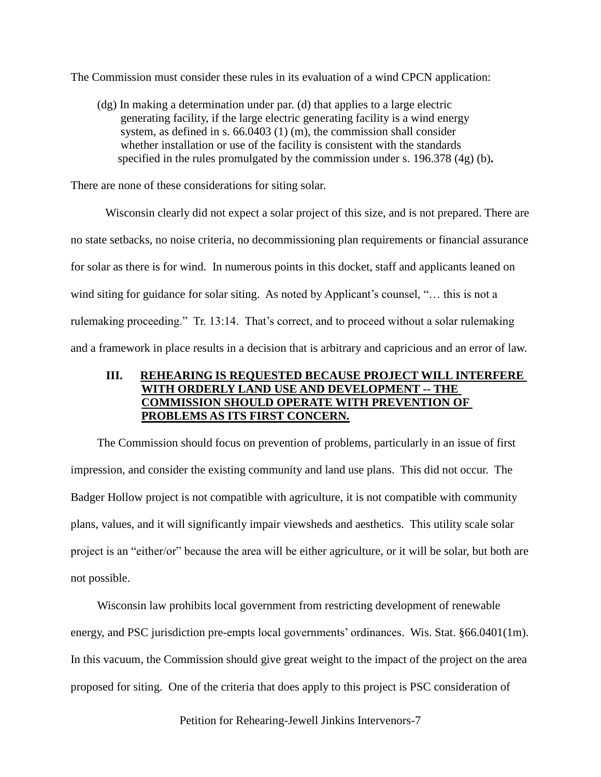The Commission must consider these rules in its evaluation of a wind CPCN application:

(dg) In making a determination under par. (d) that applies to a large electric generating facility, if the large electric generating facility is a wind energy system, as defined in s. 66.0403 (1) (m), the commission shall consider whether installation or use of the facility is consistent with the standards specified in the rules promulgated by the commission under s. 196.378 (4g) (b)**.**

There are none of these considerations for siting solar.

Wisconsin clearly did not expect a solar project of this size, and is not prepared. There are no state setbacks, no noise criteria, no decommissioning plan requirements or financial assurance for solar as there is for wind. In numerous points in this docket, staff and applicants leaned on wind siting for guidance for solar siting. As noted by Applicant's counsel, "... this is not a rulemaking proceeding." Tr. 13:14. That's correct, and to proceed without a solar rulemaking and a framework in place results in a decision that is arbitrary and capricious and an error of law.

## **III. REHEARING IS REQUESTED BECAUSE PROJECT WILL INTERFERE WITH ORDERLY LAND USE AND DEVELOPMENT -- THE COMMISSION SHOULD OPERATE WITH PREVENTION OF PROBLEMS AS ITS FIRST CONCERN.**

The Commission should focus on prevention of problems, particularly in an issue of first impression, and consider the existing community and land use plans. This did not occur. The Badger Hollow project is not compatible with agriculture, it is not compatible with community plans, values, and it will significantly impair viewsheds and aesthetics. This utility scale solar project is an "either/or" because the area will be either agriculture, or it will be solar, but both are not possible.

Wisconsin law prohibits local government from restricting development of renewable energy, and PSC jurisdiction pre-empts local governments' ordinances. Wis. Stat. §66.0401(1m). In this vacuum, the Commission should give great weight to the impact of the project on the area proposed for siting. One of the criteria that does apply to this project is PSC consideration of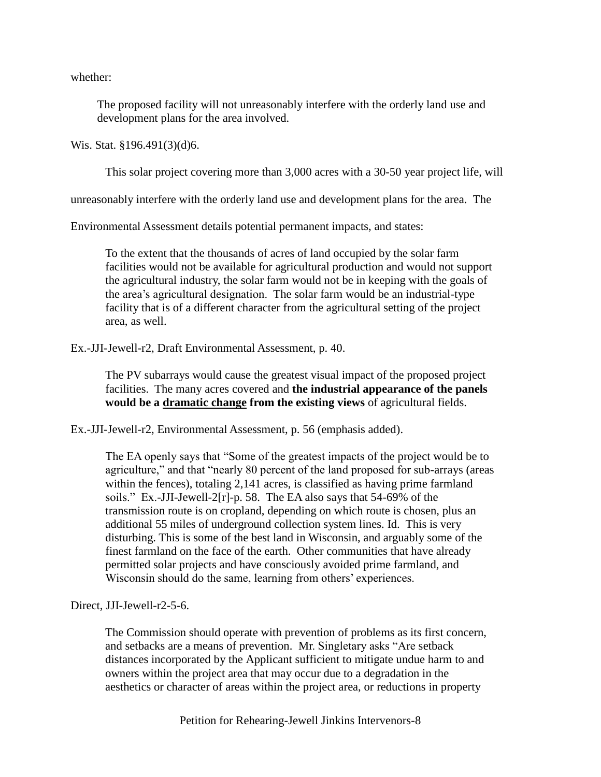whether:

The proposed facility will not unreasonably interfere with the orderly land use and development plans for the area involved.

Wis. Stat. §196.491(3)(d)6.

This solar project covering more than 3,000 acres with a 30-50 year project life, will

unreasonably interfere with the orderly land use and development plans for the area. The

Environmental Assessment details potential permanent impacts, and states:

To the extent that the thousands of acres of land occupied by the solar farm facilities would not be available for agricultural production and would not support the agricultural industry, the solar farm would not be in keeping with the goals of the area's agricultural designation. The solar farm would be an industrial-type facility that is of a different character from the agricultural setting of the project area, as well.

Ex.-JJI-Jewell-r2, Draft Environmental Assessment, p. 40.

The PV subarrays would cause the greatest visual impact of the proposed project facilities. The many acres covered and **the industrial appearance of the panels would be a dramatic change from the existing views** of agricultural fields.

Ex.-JJI-Jewell-r2, Environmental Assessment, p. 56 (emphasis added).

The EA openly says that "Some of the greatest impacts of the project would be to agriculture," and that "nearly 80 percent of the land proposed for sub-arrays (areas within the fences), totaling 2,141 acres, is classified as having prime farmland soils." Ex.-JJI-Jewell-2[r]-p. 58. The EA also says that 54-69% of the transmission route is on cropland, depending on which route is chosen, plus an additional 55 miles of underground collection system lines. Id. This is very disturbing. This is some of the best land in Wisconsin, and arguably some of the finest farmland on the face of the earth. Other communities that have already permitted solar projects and have consciously avoided prime farmland, and Wisconsin should do the same, learning from others' experiences.

Direct, JJI-Jewell-r2-5-6.

The Commission should operate with prevention of problems as its first concern, and setbacks are a means of prevention. Mr. Singletary asks "Are setback distances incorporated by the Applicant sufficient to mitigate undue harm to and owners within the project area that may occur due to a degradation in the aesthetics or character of areas within the project area, or reductions in property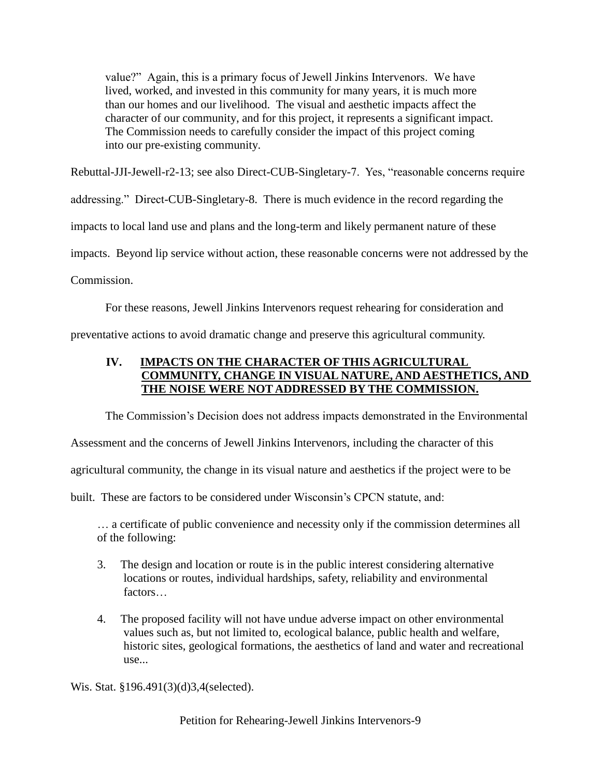value?" Again, this is a primary focus of Jewell Jinkins Intervenors. We have lived, worked, and invested in this community for many years, it is much more than our homes and our livelihood. The visual and aesthetic impacts affect the character of our community, and for this project, it represents a significant impact. The Commission needs to carefully consider the impact of this project coming into our pre-existing community.

Rebuttal-JJI-Jewell-r2-13; see also Direct-CUB-Singletary-7. Yes, "reasonable concerns require

addressing." Direct-CUB-Singletary-8. There is much evidence in the record regarding the

impacts to local land use and plans and the long-term and likely permanent nature of these

impacts. Beyond lip service without action, these reasonable concerns were not addressed by the

Commission.

For these reasons, Jewell Jinkins Intervenors request rehearing for consideration and

preventative actions to avoid dramatic change and preserve this agricultural community.

# **IV. IMPACTS ON THE CHARACTER OF THIS AGRICULTURAL COMMUNITY, CHANGE IN VISUAL NATURE, AND AESTHETICS, AND THE NOISE WERE NOT ADDRESSED BY THE COMMISSION.**

The Commission's Decision does not address impacts demonstrated in the Environmental

Assessment and the concerns of Jewell Jinkins Intervenors, including the character of this

agricultural community, the change in its visual nature and aesthetics if the project were to be

built. These are factors to be considered under Wisconsin's CPCN statute, and:

… a certificate of public convenience and necessity only if the commission determines all of the following:

- 3. The design and location or route is in the public interest considering alternative locations or routes, individual hardships, safety, reliability and environmental factors…
- 4. The proposed facility will not have undue adverse impact on other environmental values such as, but not limited to, ecological balance, public health and welfare, historic sites, geological formations, the aesthetics of land and water and recreational use...

Wis. Stat. §196.491(3)(d)3,4(selected).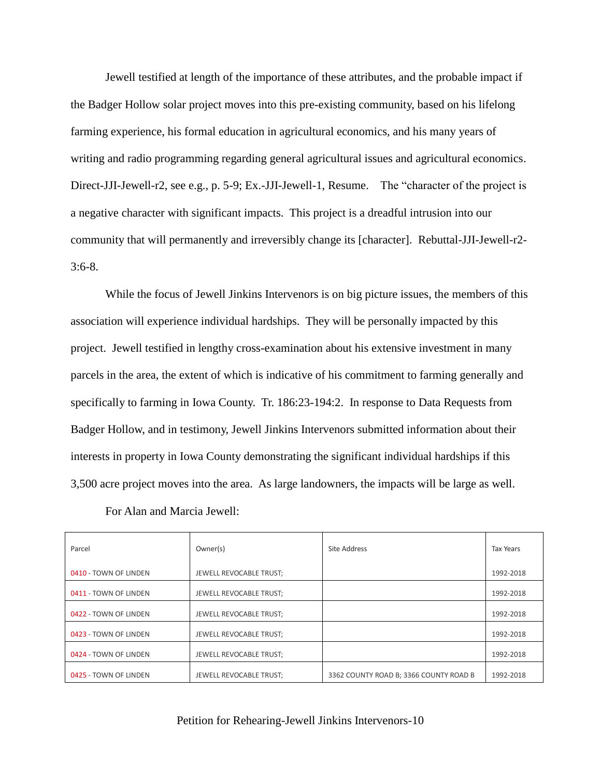Jewell testified at length of the importance of these attributes, and the probable impact if the Badger Hollow solar project moves into this pre-existing community, based on his lifelong farming experience, his formal education in agricultural economics, and his many years of writing and radio programming regarding general agricultural issues and agricultural economics. Direct-JJI-Jewell-r2, see e.g., p. 5-9; Ex.-JJI-Jewell-1, Resume. The "character of the project is a negative character with significant impacts. This project is a dreadful intrusion into our community that will permanently and irreversibly change its [character]. Rebuttal-JJI-Jewell-r2- 3:6-8.

While the focus of Jewell Jinkins Intervenors is on big picture issues, the members of this association will experience individual hardships. They will be personally impacted by this project. Jewell testified in lengthy cross-examination about his extensive investment in many parcels in the area, the extent of which is indicative of his commitment to farming generally and specifically to farming in Iowa County. Tr. 186:23-194:2. In response to Data Requests from Badger Hollow, and in testimony, Jewell Jinkins Intervenors submitted information about their interests in property in Iowa County demonstrating the significant individual hardships if this 3,500 acre project moves into the area. As large landowners, the impacts will be large as well.

| Parcel                | Owner(s)                | Site Address                           | <b>Tax Years</b> |
|-----------------------|-------------------------|----------------------------------------|------------------|
| 0410 - TOWN OF LINDEN | JEWELL REVOCABLE TRUST; |                                        | 1992-2018        |
| 0411 - TOWN OF LINDEN | JEWELL REVOCABLE TRUST; |                                        | 1992-2018        |
| 0422 - TOWN OF LINDEN | JEWELL REVOCABLE TRUST; |                                        | 1992-2018        |
| 0423 - TOWN OF LINDEN | JEWELL REVOCABLE TRUST; |                                        | 1992-2018        |
| 0424 - TOWN OF LINDEN | JEWELL REVOCABLE TRUST; |                                        | 1992-2018        |
| 0425 - TOWN OF LINDEN | JEWELL REVOCABLE TRUST; | 3362 COUNTY ROAD B; 3366 COUNTY ROAD B | 1992-2018        |

For Alan and Marcia Jewell: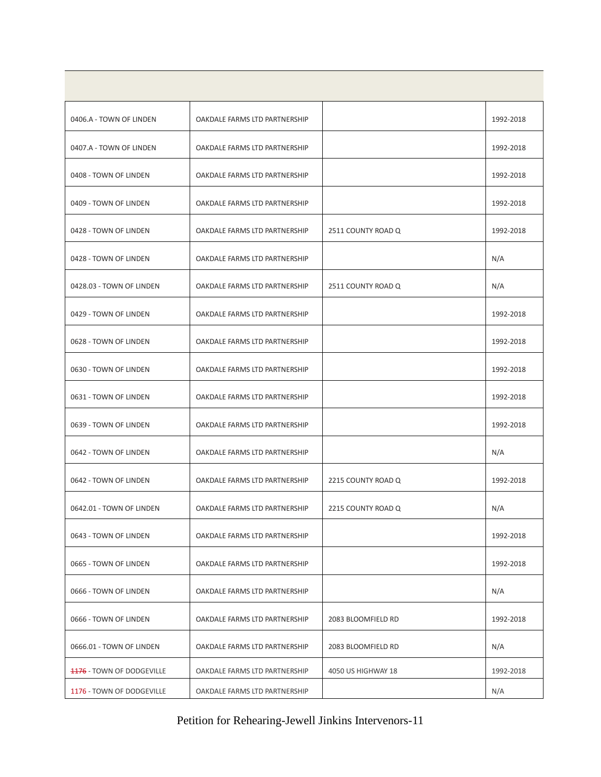| 0406.A - TOWN OF LINDEN          | OAKDALE FARMS LTD PARTNERSHIP |                    | 1992-2018 |
|----------------------------------|-------------------------------|--------------------|-----------|
| 0407.A - TOWN OF LINDEN          | OAKDALE FARMS LTD PARTNERSHIP |                    | 1992-2018 |
| 0408 - TOWN OF LINDEN            | OAKDALE FARMS LTD PARTNERSHIP |                    | 1992-2018 |
| 0409 - TOWN OF LINDEN            | OAKDALE FARMS LTD PARTNERSHIP |                    | 1992-2018 |
| 0428 - TOWN OF LINDEN            | OAKDALE FARMS LTD PARTNERSHIP | 2511 COUNTY ROAD Q | 1992-2018 |
| 0428 - TOWN OF LINDEN            | OAKDALE FARMS LTD PARTNERSHIP |                    | N/A       |
| 0428.03 - TOWN OF LINDEN         | OAKDALE FARMS LTD PARTNERSHIP | 2511 COUNTY ROAD Q | N/A       |
| 0429 - TOWN OF LINDEN            | OAKDALE FARMS LTD PARTNERSHIP |                    | 1992-2018 |
| 0628 - TOWN OF LINDEN            | OAKDALE FARMS LTD PARTNERSHIP |                    | 1992-2018 |
| 0630 - TOWN OF LINDEN            | OAKDALE FARMS LTD PARTNERSHIP |                    | 1992-2018 |
| 0631 - TOWN OF LINDEN            | OAKDALE FARMS LTD PARTNERSHIP |                    | 1992-2018 |
| 0639 - TOWN OF LINDEN            | OAKDALE FARMS LTD PARTNERSHIP |                    | 1992-2018 |
| 0642 - TOWN OF LINDEN            | OAKDALE FARMS LTD PARTNERSHIP |                    | N/A       |
| 0642 - TOWN OF LINDEN            | OAKDALE FARMS LTD PARTNERSHIP | 2215 COUNTY ROAD Q | 1992-2018 |
| 0642.01 - TOWN OF LINDEN         | OAKDALE FARMS LTD PARTNERSHIP | 2215 COUNTY ROAD Q | N/A       |
| 0643 - TOWN OF LINDEN            | OAKDALE FARMS LTD PARTNERSHIP |                    | 1992-2018 |
| 0665 - TOWN OF LINDEN            | OAKDALE FARMS LTD PARTNERSHIP |                    | 1992-2018 |
| 0666 - TOWN OF LINDEN            | OAKDALE FARMS LTD PARTNERSHIP |                    | N/A       |
| 0666 - TOWN OF LINDEN            | OAKDALE FARMS LTD PARTNERSHIP | 2083 BLOOMFIELD RD | 1992-2018 |
| 0666.01 - TOWN OF LINDEN         | OAKDALE FARMS LTD PARTNERSHIP | 2083 BLOOMFIELD RD | N/A       |
| <b>1176 - TOWN OF DODGEVILLE</b> | OAKDALE FARMS LTD PARTNERSHIP | 4050 US HIGHWAY 18 | 1992-2018 |
| 1176 - TOWN OF DODGEVILLE        | OAKDALE FARMS LTD PARTNERSHIP |                    | N/A       |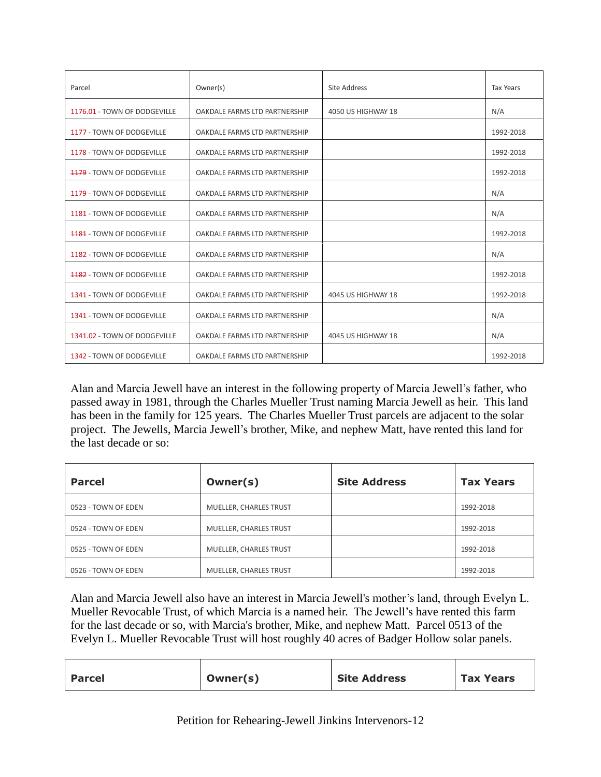| Parcel                           | Owner(s)                      | Site Address       | <b>Tax Years</b> |
|----------------------------------|-------------------------------|--------------------|------------------|
| 1176.01 - TOWN OF DODGEVILLE     | OAKDALE FARMS LTD PARTNERSHIP | 4050 US HIGHWAY 18 | N/A              |
| 1177 - TOWN OF DODGEVILLE        | OAKDALE FARMS LTD PARTNERSHIP |                    | 1992-2018        |
| 1178 - TOWN OF DODGEVILLE        | OAKDALE FARMS LTD PARTNERSHIP |                    | 1992-2018        |
| <b>1179 - TOWN OF DODGEVILLE</b> | OAKDALE FARMS LTD PARTNERSHIP |                    | 1992-2018        |
| 1179 - TOWN OF DODGEVILLE        | OAKDALE FARMS LTD PARTNERSHIP |                    | N/A              |
| 1181 - TOWN OF DODGEVILLE        | OAKDALE FARMS LTD PARTNERSHIP |                    | N/A              |
| <b>1181</b> - TOWN OF DODGEVILLE | OAKDALE FARMS LTD PARTNERSHIP |                    | 1992-2018        |
| 1182 - TOWN OF DODGEVILLE        | OAKDALE FARMS LTD PARTNERSHIP |                    | N/A              |
| <b>4482 - TOWN OF DODGEVILLE</b> | OAKDALE FARMS LTD PARTNERSHIP |                    | 1992-2018        |
| <b>1341 - TOWN OF DODGEVILLE</b> | OAKDALE FARMS LTD PARTNERSHIP | 4045 US HIGHWAY 18 | 1992-2018        |
| 1341 - TOWN OF DODGEVILLE        | OAKDALE FARMS LTD PARTNERSHIP |                    | N/A              |
| 1341.02 - TOWN OF DODGEVILLE     | OAKDALE FARMS LTD PARTNERSHIP | 4045 US HIGHWAY 18 | N/A              |
| 1342 - TOWN OF DODGEVILLE        | OAKDALE FARMS LTD PARTNERSHIP |                    | 1992-2018        |

Alan and Marcia Jewell have an interest in the following property of Marcia Jewell's father, who passed away in 1981, through the Charles Mueller Trust naming Marcia Jewell as heir. This land has been in the family for 125 years. The Charles Mueller Trust parcels are adjacent to the solar project. The Jewells, Marcia Jewell's brother, Mike, and nephew Matt, have rented this land for the last decade or so:

| <b>Parcel</b>       | Owner(s)               | <b>Site Address</b> | <b>Tax Years</b> |
|---------------------|------------------------|---------------------|------------------|
| 0523 - TOWN OF EDEN | MUELLER, CHARLES TRUST |                     | 1992-2018        |
| 0524 - TOWN OF EDEN | MUELLER, CHARLES TRUST |                     | 1992-2018        |
| 0525 - TOWN OF EDEN | MUELLER, CHARLES TRUST |                     | 1992-2018        |
| 0526 - TOWN OF EDEN | MUELLER, CHARLES TRUST |                     | 1992-2018        |

Alan and Marcia Jewell also have an interest in Marcia Jewell's mother's land, through Evelyn L. Mueller Revocable Trust, of which Marcia is a named heir. The Jewell's have rented this farm for the last decade or so, with Marcia's brother, Mike, and nephew Matt. Parcel 0513 of the Evelyn L. Mueller Revocable Trust will host roughly 40 acres of Badger Hollow solar panels.

| <b>Parcel</b> | Owner(s) | <b>Site Address</b> | <b>Tax Years</b> |
|---------------|----------|---------------------|------------------|
|---------------|----------|---------------------|------------------|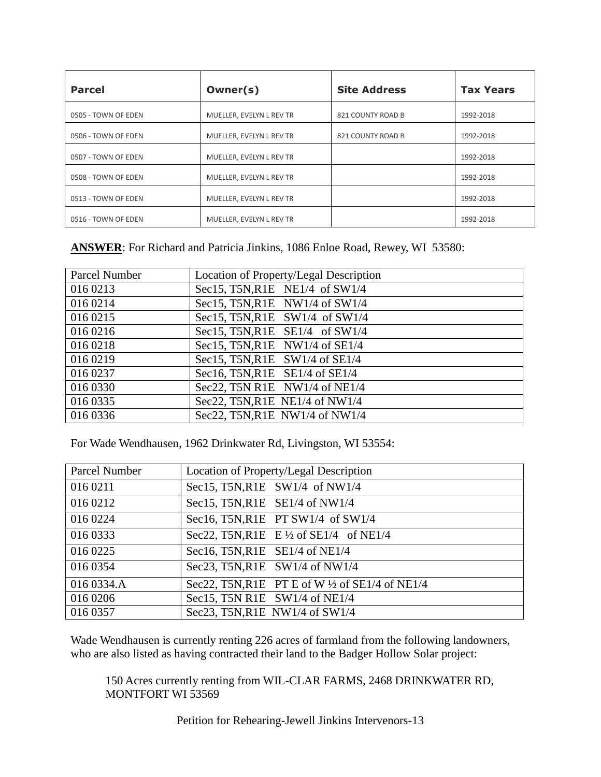| <b>Parcel</b>       | Owner(s)                 | <b>Site Address</b> | <b>Tax Years</b> |
|---------------------|--------------------------|---------------------|------------------|
| 0505 - TOWN OF EDEN | MUELLER, EVELYN L REV TR | 821 COUNTY ROAD B   | 1992-2018        |
| 0506 - TOWN OF EDEN | MUELLER, EVELYN L REV TR | 821 COUNTY ROAD B   | 1992-2018        |
| 0507 - TOWN OF EDEN | MUELLER, EVELYN L REV TR |                     | 1992-2018        |
| 0508 - TOWN OF EDEN | MUELLER, EVELYN L REV TR |                     | 1992-2018        |
| 0513 - TOWN OF EDEN | MUELLER, EVELYN L REV TR |                     | 1992-2018        |
| 0516 - TOWN OF EDEN | MUELLER, EVELYN L REV TR |                     | 1992-2018        |

# **ANSWER**: For Richard and Patricia Jinkins, 1086 Enloe Road, Rewey, WI 53580:

| Parcel Number | Location of Property/Legal Description |
|---------------|----------------------------------------|
| 016 0213      | Sec15, T5N, R1E NE1/4 of $SW1/4$       |
| 016 0214      | Sec15, T5N, R1E NW1/4 of $SW1/4$       |
| 016 0215      | Sec15, T5N, R1E SW1/4 of SW1/4         |
| 016 0216      | Sec15, T5N, R1E $SE1/4$ of SW1/4       |
| 016 0218      | Sec15, T5N, R1E NW1/4 of SE1/4         |
| 016 0219      | Sec15, T5N, R1E SW1/4 of SE1/4         |
| 016 0237      | Sec16, T5N, R1E SE1/4 of SE1/4         |
| 016 0330      | Sec22, T5N R1E NW1/4 of NE1/4          |
| 016 0335      | Sec22, T5N, R1E NE1/4 of NW1/4         |
| 016 0336      | Sec22, T5N, R1E NW1/4 of NW1/4         |

For Wade Wendhausen, 1962 Drinkwater Rd, Livingston, WI 53554:

| Parcel Number | Location of Property/Legal Description                    |
|---------------|-----------------------------------------------------------|
| 016 0211      | Sec15, T5N, R1E SW1/4 of NW1/4                            |
| 016 0212      | Sec15, T5N, R1E SE1/4 of NW1/4                            |
| 016 0224      | Sec16, T5N, R1E PT SW1/4 of SW1/4                         |
| 016 0333      | Sec22, T5N, R1E E $\frac{1}{2}$ of SE1/4 of NE1/4         |
| 016 0225      | Sec16, T5N, R1E SE1/4 of NE1/4                            |
| 016 0354      | Sec23, T5N, R1E SW1/4 of NW1/4                            |
| 016 0334.A    | Sec22, T5N, R1E PT E of W $\frac{1}{2}$ of SE1/4 of NE1/4 |
| 016 0206      | Sec15, T5N R1E SW1/4 of NE1/4                             |
| 016 0357      | Sec23, T5N, R1E NW1/4 of SW1/4                            |

Wade Wendhausen is currently renting 226 acres of farmland from the following landowners, who are also listed as having contracted their land to the Badger Hollow Solar project:

150 Acres currently renting from WIL-CLAR FARMS, 2468 DRINKWATER RD, MONTFORT WI 53569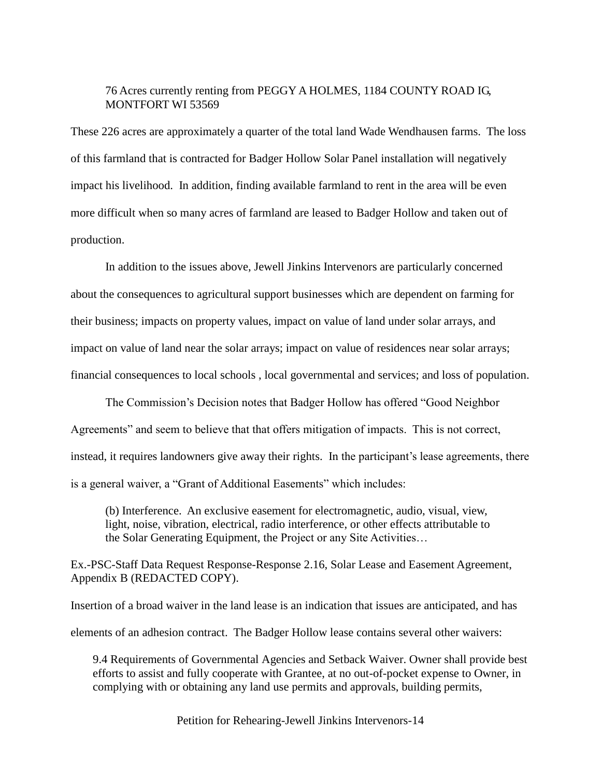## 76 Acres currently renting from PEGGY A HOLMES, 1184 COUNTY ROAD IG, MONTFORT WI 53569

These 226 acres are approximately a quarter of the total land Wade Wendhausen farms. The loss of this farmland that is contracted for Badger Hollow Solar Panel installation will negatively impact his livelihood. In addition, finding available farmland to rent in the area will be even more difficult when so many acres of farmland are leased to Badger Hollow and taken out of production.

In addition to the issues above, Jewell Jinkins Intervenors are particularly concerned about the consequences to agricultural support businesses which are dependent on farming for their business; impacts on property values, impact on value of land under solar arrays, and impact on value of land near the solar arrays; impact on value of residences near solar arrays; financial consequences to local schools , local governmental and services; and loss of population.

The Commission's Decision notes that Badger Hollow has offered "Good Neighbor Agreements" and seem to believe that that offers mitigation of impacts. This is not correct, instead, it requires landowners give away their rights. In the participant's lease agreements, there is a general waiver, a "Grant of Additional Easements" which includes:

(b) Interference. An exclusive easement for electromagnetic, audio, visual, view, light, noise, vibration, electrical, radio interference, or other effects attributable to the Solar Generating Equipment, the Project or any Site Activities…

Ex.-PSC-Staff Data Request Response-Response 2.16, Solar Lease and Easement Agreement, Appendix B (REDACTED COPY).

Insertion of a broad waiver in the land lease is an indication that issues are anticipated, and has elements of an adhesion contract. The Badger Hollow lease contains several other waivers:

9.4 Requirements of Governmental Agencies and Setback Waiver. Owner shall provide best efforts to assist and fully cooperate with Grantee, at no out-of-pocket expense to Owner, in complying with or obtaining any land use permits and approvals, building permits,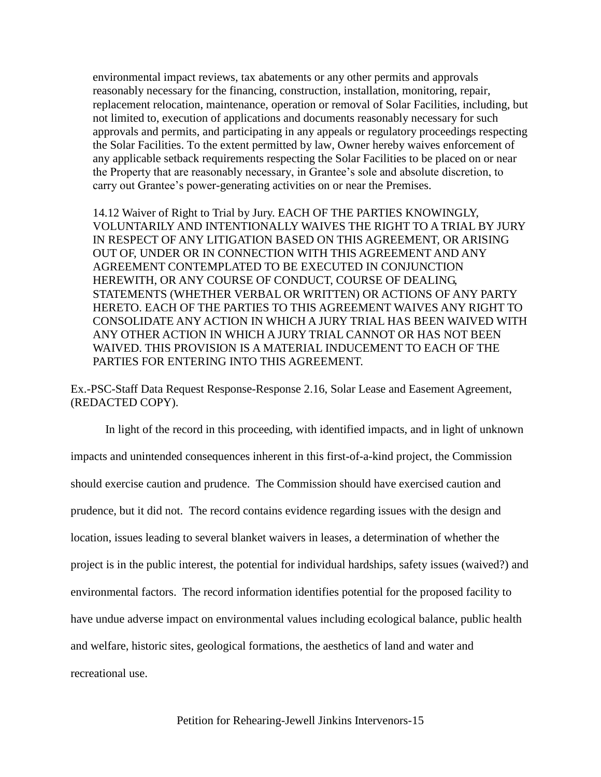environmental impact reviews, tax abatements or any other permits and approvals reasonably necessary for the financing, construction, installation, monitoring, repair, replacement relocation, maintenance, operation or removal of Solar Facilities, including, but not limited to, execution of applications and documents reasonably necessary for such approvals and permits, and participating in any appeals or regulatory proceedings respecting the Solar Facilities. To the extent permitted by law, Owner hereby waives enforcement of any applicable setback requirements respecting the Solar Facilities to be placed on or near the Property that are reasonably necessary, in Grantee's sole and absolute discretion, to carry out Grantee's power-generating activities on or near the Premises.

14.12 Waiver of Right to Trial by Jury. EACH OF THE PARTIES KNOWINGLY, VOLUNTARILY AND INTENTIONALLY WAIVES THE RIGHT TO A TRIAL BY JURY IN RESPECT OF ANY LITIGATION BASED ON THIS AGREEMENT, OR ARISING OUT OF, UNDER OR IN CONNECTION WITH THIS AGREEMENT AND ANY AGREEMENT CONTEMPLATED TO BE EXECUTED IN CONJUNCTION HEREWITH, OR ANY COURSE OF CONDUCT, COURSE OF DEALING, STATEMENTS (WHETHER VERBAL OR WRITTEN) OR ACTIONS OF ANY PARTY HERETO. EACH OF THE PARTIES TO THIS AGREEMENT WAIVES ANY RIGHT TO CONSOLIDATE ANY ACTION IN WHICH A JURY TRIAL HAS BEEN WAIVED WITH ANY OTHER ACTION IN WHICH A JURY TRIAL CANNOT OR HAS NOT BEEN WAIVED. THIS PROVISION IS A MATERIAL INDUCEMENT TO EACH OF THE PARTIES FOR ENTERING INTO THIS AGREEMENT.

Ex.-PSC-Staff Data Request Response-Response 2.16, Solar Lease and Easement Agreement, (REDACTED COPY).

In light of the record in this proceeding, with identified impacts, and in light of unknown impacts and unintended consequences inherent in this first-of-a-kind project, the Commission should exercise caution and prudence. The Commission should have exercised caution and prudence, but it did not. The record contains evidence regarding issues with the design and location, issues leading to several blanket waivers in leases, a determination of whether the project is in the public interest, the potential for individual hardships, safety issues (waived?) and environmental factors. The record information identifies potential for the proposed facility to have undue adverse impact on environmental values including ecological balance, public health and welfare, historic sites, geological formations, the aesthetics of land and water and recreational use.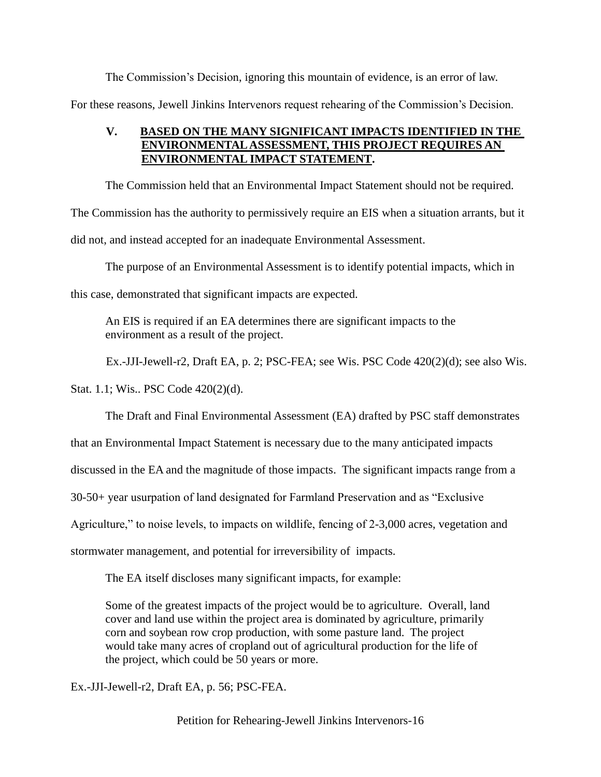The Commission's Decision, ignoring this mountain of evidence, is an error of law. For these reasons, Jewell Jinkins Intervenors request rehearing of the Commission's Decision.

# **V. BASED ON THE MANY SIGNIFICANT IMPACTS IDENTIFIED IN THE ENVIRONMENTAL ASSESSMENT, THIS PROJECT REQUIRES AN ENVIRONMENTAL IMPACT STATEMENT.**

The Commission held that an Environmental Impact Statement should not be required. The Commission has the authority to permissively require an EIS when a situation arrants, but it did not, and instead accepted for an inadequate Environmental Assessment.

The purpose of an Environmental Assessment is to identify potential impacts, which in this case, demonstrated that significant impacts are expected.

An EIS is required if an EA determines there are significant impacts to the environment as a result of the project.

Ex.-JJI-Jewell-r2, Draft EA, p. 2; PSC-FEA; see Wis. PSC Code 420(2)(d); see also Wis.

Stat. 1.1; Wis.. PSC Code 420(2)(d).

The Draft and Final Environmental Assessment (EA) drafted by PSC staff demonstrates

that an Environmental Impact Statement is necessary due to the many anticipated impacts

discussed in the EA and the magnitude of those impacts. The significant impacts range from a

30-50+ year usurpation of land designated for Farmland Preservation and as "Exclusive

Agriculture," to noise levels, to impacts on wildlife, fencing of 2-3,000 acres, vegetation and

stormwater management, and potential for irreversibility of impacts.

The EA itself discloses many significant impacts, for example:

Some of the greatest impacts of the project would be to agriculture. Overall, land cover and land use within the project area is dominated by agriculture, primarily corn and soybean row crop production, with some pasture land. The project would take many acres of cropland out of agricultural production for the life of the project, which could be 50 years or more.

Ex.-JJI-Jewell-r2, Draft EA, p. 56; PSC-FEA.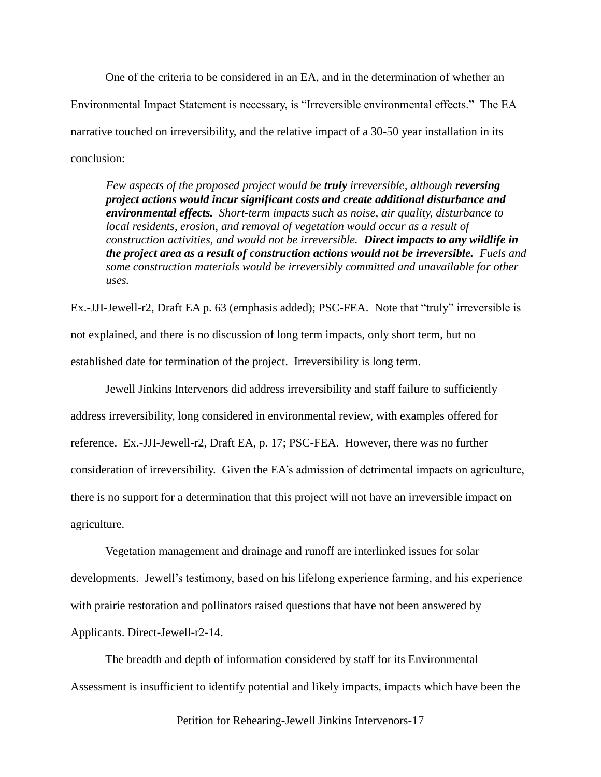One of the criteria to be considered in an EA, and in the determination of whether an Environmental Impact Statement is necessary, is "Irreversible environmental effects." The EA narrative touched on irreversibility, and the relative impact of a 30-50 year installation in its conclusion:

*Few aspects of the proposed project would be truly irreversible, although reversing project actions would incur significant costs and create additional disturbance and environmental effects. Short-term impacts such as noise, air quality, disturbance to local residents, erosion, and removal of vegetation would occur as a result of construction activities, and would not be irreversible. Direct impacts to any wildlife in the project area as a result of construction actions would not be irreversible. Fuels and some construction materials would be irreversibly committed and unavailable for other uses.*

Ex.-JJI-Jewell-r2, Draft EA p. 63 (emphasis added); PSC-FEA. Note that "truly" irreversible is not explained, and there is no discussion of long term impacts, only short term, but no established date for termination of the project. Irreversibility is long term.

Jewell Jinkins Intervenors did address irreversibility and staff failure to sufficiently address irreversibility, long considered in environmental review, with examples offered for reference. Ex.-JJI-Jewell-r2, Draft EA, p. 17; PSC-FEA. However, there was no further consideration of irreversibility. Given the EA's admission of detrimental impacts on agriculture, there is no support for a determination that this project will not have an irreversible impact on agriculture.

Vegetation management and drainage and runoff are interlinked issues for solar developments. Jewell's testimony, based on his lifelong experience farming, and his experience with prairie restoration and pollinators raised questions that have not been answered by Applicants. Direct-Jewell-r2-14.

The breadth and depth of information considered by staff for its Environmental Assessment is insufficient to identify potential and likely impacts, impacts which have been the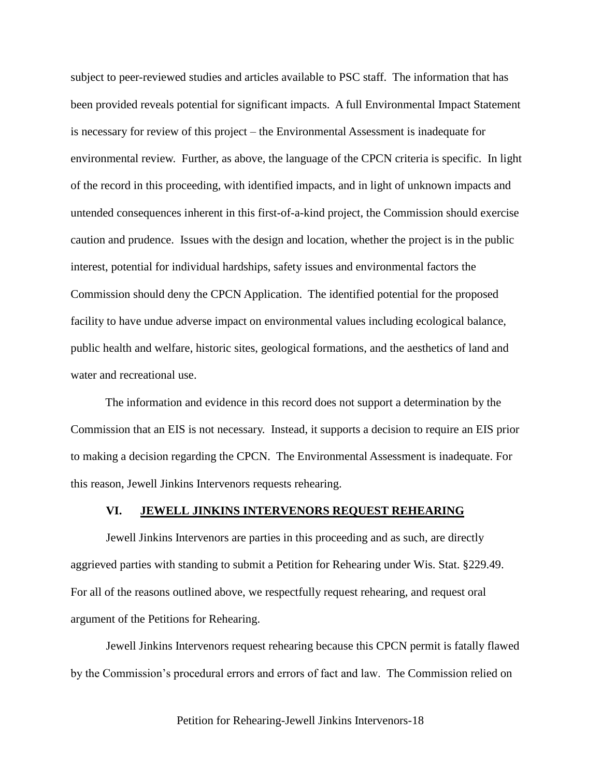subject to peer-reviewed studies and articles available to PSC staff. The information that has been provided reveals potential for significant impacts. A full Environmental Impact Statement is necessary for review of this project – the Environmental Assessment is inadequate for environmental review. Further, as above, the language of the CPCN criteria is specific. In light of the record in this proceeding, with identified impacts, and in light of unknown impacts and untended consequences inherent in this first-of-a-kind project, the Commission should exercise caution and prudence. Issues with the design and location, whether the project is in the public interest, potential for individual hardships, safety issues and environmental factors the Commission should deny the CPCN Application. The identified potential for the proposed facility to have undue adverse impact on environmental values including ecological balance, public health and welfare, historic sites, geological formations, and the aesthetics of land and water and recreational use.

The information and evidence in this record does not support a determination by the Commission that an EIS is not necessary. Instead, it supports a decision to require an EIS prior to making a decision regarding the CPCN. The Environmental Assessment is inadequate. For this reason, Jewell Jinkins Intervenors requests rehearing.

#### **VI. JEWELL JINKINS INTERVENORS REQUEST REHEARING**

Jewell Jinkins Intervenors are parties in this proceeding and as such, are directly aggrieved parties with standing to submit a Petition for Rehearing under Wis. Stat. §229.49. For all of the reasons outlined above, we respectfully request rehearing, and request oral argument of the Petitions for Rehearing.

Jewell Jinkins Intervenors request rehearing because this CPCN permit is fatally flawed by the Commission's procedural errors and errors of fact and law. The Commission relied on